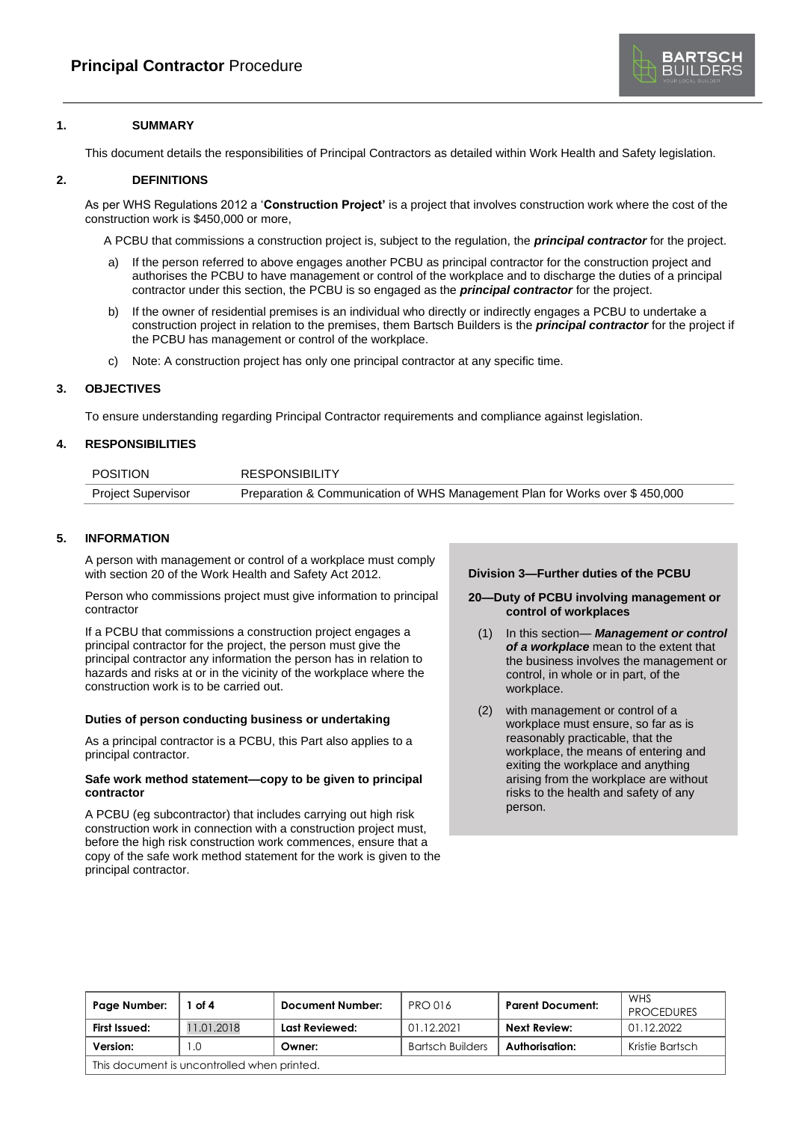

# **1. SUMMARY**

This document details the responsibilities of Principal Contractors as detailed within Work Health and Safety legislation.

## **2. DEFINITIONS**

As per WHS Regulations 2012 a '**Construction Project'** is a project that involves construction work where the cost of the construction work is \$450,000 or more,

A PCBU that commissions a construction project is, subject to the regulation, the *principal contractor* for the project.

- a) If the person referred to above engages another PCBU as principal contractor for the construction project and authorises the PCBU to have management or control of the workplace and to discharge the duties of a principal contractor under this section, the PCBU is so engaged as the *principal contractor* for the project.
- b) If the owner of residential premises is an individual who directly or indirectly engages a PCBU to undertake a construction project in relation to the premises, them Bartsch Builders is the *principal contractor* for the project if the PCBU has management or control of the workplace.
- c) Note: A construction project has only one principal contractor at any specific time.

# **3. OBJECTIVES**

To ensure understanding regarding Principal Contractor requirements and compliance against legislation.

# **4. RESPONSIBILITIES**

| <b>POSITION</b>           | <b>RESPONSIBILITY</b>                                                       |  |
|---------------------------|-----------------------------------------------------------------------------|--|
| <b>Project Supervisor</b> | Preparation & Communication of WHS Management Plan for Works over \$450,000 |  |
|                           |                                                                             |  |

# **5. INFORMATION**

A person with management or control of a workplace must comply with section 20 of the Work Health and Safety Act 2012.

Person who commissions project must give information to principal contractor

If a PCBU that commissions a construction project engages a principal contractor for the project, the person must give the principal contractor any information the person has in relation to hazards and risks at or in the vicinity of the workplace where the construction work is to be carried out.

### **Duties of person conducting business or undertaking**

As a principal contractor is a PCBU, this Part also applies to a principal contractor.

### **Safe work method statement—copy to be given to principal contractor**

A PCBU (eg subcontractor) that includes carrying out high risk construction work in connection with a construction project must, before the high risk construction work commences, ensure that a copy of the safe work method statement for the work is given to the principal contractor.

### **Division 3—Further duties of the PCBU**

- **20—Duty of PCBU involving management or control of workplaces**
	- (1) In this section— *Management or control of a workplace* mean to the extent that the business involves the management or control, in whole or in part, of the workplace.
	- (2) with management or control of a workplace must ensure, so far as is reasonably practicable, that the workplace, the means of entering and exiting the workplace and anything arising from the workplace are without risks to the health and safety of any person.

| Page Number:                                | of 4       | <b>Document Number:</b> | <b>PRO 016</b>          | <b>Parent Document:</b> | WHS<br><b>PROCEDURES</b> |
|---------------------------------------------|------------|-------------------------|-------------------------|-------------------------|--------------------------|
| First Issued:                               | 11.01.2018 | Last Reviewed:          | 01.12.2021              | Next Review:            | 01.12.2022               |
| Version:                                    | .0         | Owner:                  | <b>Bartsch Builders</b> | Authorisation:          | Kristie Bartsch          |
| This document is uncontrolled when printed. |            |                         |                         |                         |                          |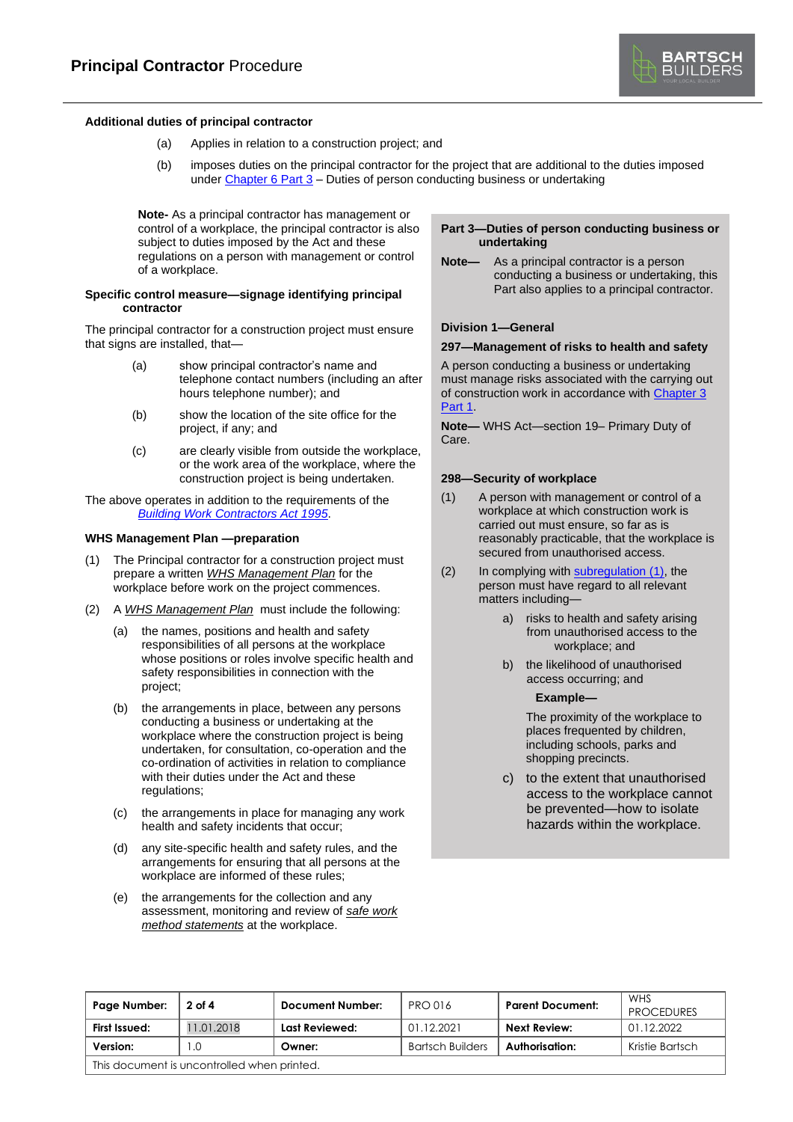

### **Additional duties of principal contractor**

- (a) Applies in relation to a construction project; and
- (b) imposes duties on the principal contractor for the project that are additional to the duties imposed unde[r Chapter](file:///C:/Users/Kristie/AppData/Local/Microsoft/Windows/INetCache/IE/HNX1IBS9/TP%20-%20Principal%20Contractor%20PR-0042%20(information%20sheet).docx%23idffb20cde_4c65_465f_992d_b74cbcc256) 6 Part 3 – Duties of person conducting business or undertaking

**Note-** As a principal contractor has management or control of a workplace, the principal contractor is also subject to duties imposed by the Act and these regulations on a person with management or control of a workplace.

#### **Specific control measure—signage identifying principal contractor**

The principal contractor for a construction project must ensure that signs are installed, that—

- (a) show principal contractor's name and telephone contact numbers (including an after hours telephone number); and
- (b) show the location of the site office for the project, if any; and
- (c) are clearly visible from outside the workplace, or the work area of the workplace, where the construction project is being undertaken.

The above operates in addition to the requirements of the *[Building Work Contractors Act](http://www.legislation.sa.gov.au/index.aspx?action=legref&type=act&legtitle=Building%20Work%20Contractors%20Act%201995) 1995*.

#### **WHS Management Plan —preparation**

- (1) The Principal contractor for a construction project must prepare a written *WHS Management Plan* for the workplace before work on the project commences.
- (2) A *WHS Management Plan* must include the following:
	- (a) the names, positions and health and safety responsibilities of all persons at the workplace whose positions or roles involve specific health and safety responsibilities in connection with the project;
	- (b) the arrangements in place, between any persons conducting a business or undertaking at the workplace where the construction project is being undertaken, for consultation, co-operation and the co-ordination of activities in relation to compliance with their duties under the Act and these regulations;
	- (c) the arrangements in place for managing any work health and safety incidents that occur;
	- (d) any site-specific health and safety rules, and the arrangements for ensuring that all persons at the workplace are informed of these rules;
	- (e) the arrangements for the collection and any assessment, monitoring and review of *safe work method statements* at the workplace.

## **Part 3—Duties of person conducting business or undertaking**

**Note—** As a principal contractor is a person conducting a business or undertaking, this Part also applies to a principal contractor.

## **Division 1—General**

#### **297—Management of risks to health and safety**

A person conducting a business or undertaking must manage risks associated with the carrying out of construction work in accordance wit[h Chapter](file:///C:/Users/Kristie/AppData/Local/Microsoft/Windows/INetCache/IE/HNX1IBS9/TP%20-%20Principal%20Contractor%20PR-0042%20(information%20sheet).docx%23id6c6993ca_929c_42b6_8386_32cd85c9db) 3 [Part](file:///C:/Users/Kristie/AppData/Local/Microsoft/Windows/INetCache/IE/HNX1IBS9/TP%20-%20Principal%20Contractor%20PR-0042%20(information%20sheet).docx%23id6c6993ca_929c_42b6_8386_32cd85c9db) 1.

**Note—** WHS Act—section 19– Primary Duty of Care.

#### **298—Security of workplace**

- (1) A person with management or control of a workplace at which construction work is carried out must ensure, so far as is reasonably practicable, that the workplace is secured from unauthorised access.
- (2) In complying with [subregulation](file:///C:/Users/Kristie/AppData/Local/Microsoft/Windows/INetCache/IE/HNX1IBS9/TP%20-%20Principal%20Contractor%20PR-0042%20(information%20sheet).docx%23id88cd5b73_8a99_4e4a_9126_7dd87c7551) (1), the person must have regard to all relevant matters including
	- a) risks to health and safety arising from unauthorised access to the workplace; and
	- b) the likelihood of unauthorised access occurring; and

#### **Example—**

The proximity of the workplace to places frequented by children, including schools, parks and shopping precincts.

c) to the extent that unauthorised access to the workplace cannot be prevented—how to isolate hazards within the workplace.

| Page Number:                                | 2 of 4     | Document Number: | <b>PRO 016</b>          | <b>Parent Document:</b> | WHS<br><b>PROCEDURES</b> |
|---------------------------------------------|------------|------------------|-------------------------|-------------------------|--------------------------|
| First Issued:                               | 11.01.2018 | Last Reviewed:   | 01.12.2021              | Next Review:            | 01.12.2022               |
| Version:                                    |            | Owner:           | <b>Bartsch Builders</b> | Authorisation:          | Kristie Bartsch          |
| This document is uncontrolled when printed. |            |                  |                         |                         |                          |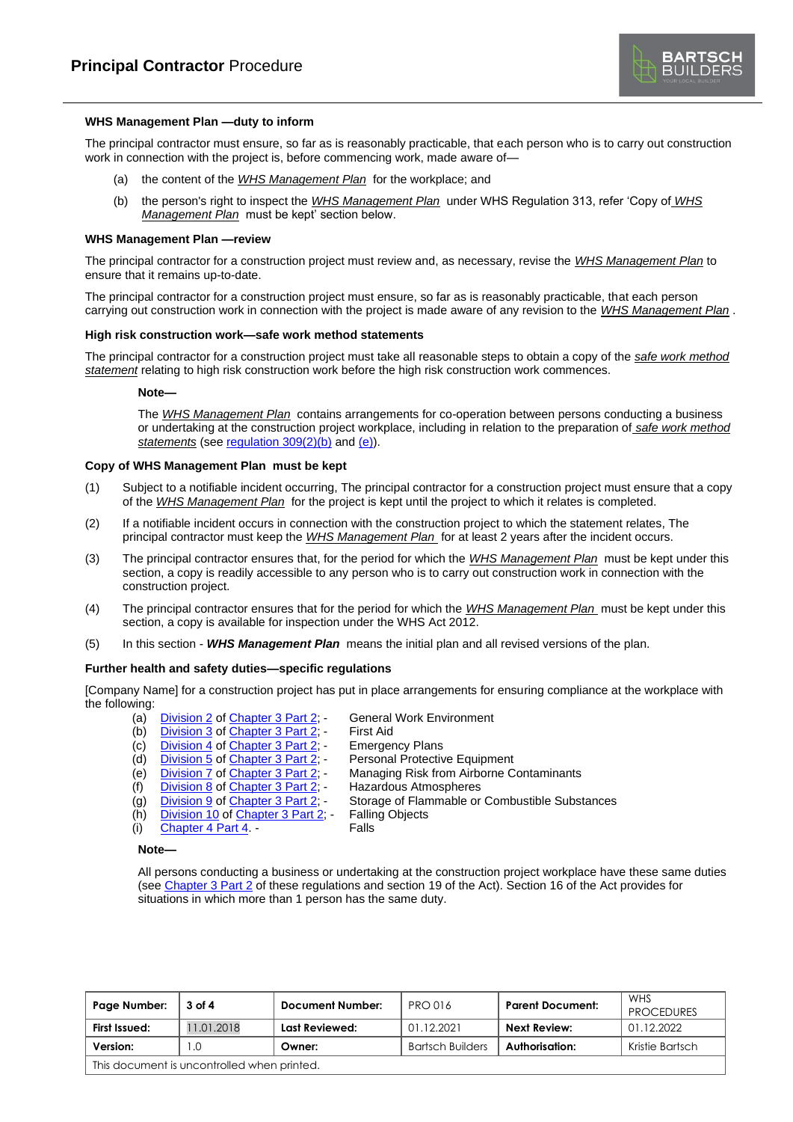

### **WHS Management Plan —duty to inform**

The principal contractor must ensure, so far as is reasonably practicable, that each person who is to carry out construction work in connection with the project is, before commencing work, made aware of—

- (a) the content of the *WHS Management Plan* for the workplace; and
- (b) the person's right to inspect the *WHS Management Plan* under WHS Regulation 313, refer 'Copy of *WHS Management Plan* must be kept' section below.

#### **WHS Management Plan —review**

The principal contractor for a construction project must review and, as necessary, revise the *WHS Management Plan* to ensure that it remains up-to-date.

The principal contractor for a construction project must ensure, so far as is reasonably practicable, that each person carrying out construction work in connection with the project is made aware of any revision to the *WHS Management Plan* .

# **High risk construction work—safe work method statements**

The principal contractor for a construction project must take all reasonable steps to obtain a copy of the *safe work method statement* relating to high risk construction work before the high risk construction work commences.

#### **Note—**

The *WHS Management Plan* contains arrangements for co-operation between persons conducting a business or undertaking at the construction project workplace, including in relation to the preparation of *safe work method statements* (see [regulation](file:///C:/Users/Kristie/AppData/Local/Microsoft/Windows/INetCache/IE/HNX1IBS9/TP%20-%20Principal%20Contractor%20PR-0042%20(information%20sheet).docx%23id92360c04_a699_4275_8d47_8734eada193e_9) 309(2)(b) and [\(e\)\)](file:///C:/Users/Kristie/AppData/Local/Microsoft/Windows/INetCache/IE/HNX1IBS9/TP%20-%20Principal%20Contractor%20PR-0042%20(information%20sheet).docx%23id25782c3d_486e_4283_8668_80922f3496e0_0).

#### **Copy of WHS Management Plan must be kept**

- (1) Subject to a notifiable incident occurring, The principal contractor for a construction project must ensure that a copy of the *WHS Management Plan* for the project is kept until the project to which it relates is completed.
- (2) If a notifiable incident occurs in connection with the construction project to which the statement relates, The principal contractor must keep the *WHS Management Plan* for at least 2 years after the incident occurs.
- (3) The principal contractor ensures that, for the period for which the *WHS Management Plan* must be kept under this section, a copy is readily accessible to any person who is to carry out construction work in connection with the construction project.
- (4) The principal contractor ensures that for the period for which the *WHS Management Plan* must be kept under this section, a copy is available for inspection under the WHS Act 2012.
- (5) In this section *WHS Management Plan* means the initial plan and all revised versions of the plan.

### **Further health and safety duties—specific regulations**

[Company Name] for a construction project has put in place arrangements for ensuring compliance at the workplace with the following:

- (a)  $\frac{\text{Division 2 of Chapter 3 Part 2}}{\text{Division 3 of Chapter 3 Part 2}}$  $\frac{\text{Division 2 of Chapter 3 Part 2}}{\text{Division 3 of Chapter 3 Part 2}}$  $\frac{\text{Division 2 of Chapter 3 Part 2}}{\text{Division 3 of Chapter 3 Part 2}}$  $\frac{\text{Division 2 of Chapter 3 Part 2}}{\text{Division 3 of Chapter 3 Part 2}}$  $\frac{\text{Division 2 of Chapter 3 Part 2}}{\text{Division 3 of Chapter 3 Part 2}}$  General Work Environment
	-
- (b) [Division](file:///C:/Users/Kristie/AppData/Local/Microsoft/Windows/INetCache/IE/HNX1IBS9/TP%20-%20Principal%20Contractor%20PR-0042%20(information%20sheet).docx%23id80b6b07a_b405_4f88_9ac6_e922705f3a) 3 of [Chapter](file:///C:/Users/Kristie/AppData/Local/Microsoft/Windows/INetCache/IE/HNX1IBS9/TP%20-%20Principal%20Contractor%20PR-0042%20(information%20sheet).docx%23ida62bf7ab_7b58_48f5_bf7f_cad0c96dcb) 3 Part 2; First Aid<br>
(c) Division 4 of Chapter 3 Part 2; Emergency Plans (c) [Division](file:///C:/Users/Kristie/AppData/Local/Microsoft/Windows/INetCache/IE/HNX1IBS9/TP%20-%20Principal%20Contractor%20PR-0042%20(information%20sheet).docx%23id707dbee0_7135_4cca_8228_f4e34e541b) 4 of [Chapter](file:///C:/Users/Kristie/AppData/Local/Microsoft/Windows/INetCache/IE/HNX1IBS9/TP%20-%20Principal%20Contractor%20PR-0042%20(information%20sheet).docx%23ida62bf7ab_7b58_48f5_bf7f_cad0c96dcb) 3 Part 2; - Emergency Plans<br>
(d) Division 5 of Chapter 3 Part 2; - Personal Protective Equipment
- 
- (d) [Division](file:///C:/Users/Kristie/AppData/Local/Microsoft/Windows/INetCache/IE/HNX1IBS9/TP%20-%20Principal%20Contractor%20PR-0042%20(information%20sheet).docx%23idccd8f7b9_114b_4691_83bb_a6570a293f) 5 of [Chapter](file:///C:/Users/Kristie/AppData/Local/Microsoft/Windows/INetCache/IE/HNX1IBS9/TP%20-%20Principal%20Contractor%20PR-0042%20(information%20sheet).docx%23ida62bf7ab_7b58_48f5_bf7f_cad0c96dcb) 3 Part 2;<br>(e) Division 7 of Chapter 3 Part 2; (e) **[Division](file:///C:/Users/Kristie/AppData/Local/Microsoft/Windows/INetCache/IE/HNX1IBS9/TP%20-%20Principal%20Contractor%20PR-0042%20(information%20sheet).docx%23idf800ced5_231b_4b4d_8105_c532ef7ae5) 7 of [Chapter](file:///C:/Users/Kristie/AppData/Local/Microsoft/Windows/INetCache/IE/HNX1IBS9/TP%20-%20Principal%20Contractor%20PR-0042%20(information%20sheet).docx%23ida62bf7ab_7b58_48f5_bf7f_cad0c96dcb) 3 Part 2;** - Managing Risk from Airborne Contaminants
- (f) [Division](file:///C:/Users/Kristie/AppData/Local/Microsoft/Windows/INetCache/IE/HNX1IBS9/TP%20-%20Principal%20Contractor%20PR-0042%20(information%20sheet).docx%23id3ecfd1b8_af5b_4c3e_a8f1_8a221fe637) 8 of [Chapter](file:///C:/Users/Kristie/AppData/Local/Microsoft/Windows/INetCache/IE/HNX1IBS9/TP%20-%20Principal%20Contractor%20PR-0042%20(information%20sheet).docx%23ida62bf7ab_7b58_48f5_bf7f_cad0c96dcb) 3 Part 2; Hazardous Atmospheres
	-
- (g) [Division](file:///C:/Users/Kristie/AppData/Local/Microsoft/Windows/INetCache/IE/HNX1IBS9/TP%20-%20Principal%20Contractor%20PR-0042%20(information%20sheet).docx%23id94445b12_e661_4e08_8cc7_62c7ee0820) 9 of [Chapter](file:///C:/Users/Kristie/AppData/Local/Microsoft/Windows/INetCache/IE/HNX1IBS9/TP%20-%20Principal%20Contractor%20PR-0042%20(information%20sheet).docx%23ida62bf7ab_7b58_48f5_bf7f_cad0c96dcb) 3 Part 2; Storage of Flammable or Combustible Substances<br>(h) Division 10 of Chapter 3 Part 2; Falling Objects
- (h) [Division](file:///C:/Users/Kristie/AppData/Local/Microsoft/Windows/INetCache/IE/HNX1IBS9/TP%20-%20Principal%20Contractor%20PR-0042%20(information%20sheet).docx%23id59222dc2_565d_4043_b2d1_92e2d41300) 10 of [Chapter](file:///C:/Users/Kristie/AppData/Local/Microsoft/Windows/INetCache/IE/HNX1IBS9/TP%20-%20Principal%20Contractor%20PR-0042%20(information%20sheet).docx%23ida62bf7ab_7b58_48f5_bf7f_cad0c96dcb)  $3$  Part  $2$ ; -
- (i) [Chapter](file:///C:/Users/Kristie/AppData/Local/Microsoft/Windows/INetCache/IE/HNX1IBS9/TP%20-%20Principal%20Contractor%20PR-0042%20(information%20sheet).docx%23id13ec7c3a_22a1_46ce_a6d0_066c5b0495) 4 Part 4. Falls
- **Note—**

All persons conducting a business or undertaking at the construction project workplace have these same duties (se[e Chapter](file:///C:/Users/Kristie/AppData/Local/Microsoft/Windows/INetCache/IE/HNX1IBS9/TP%20-%20Principal%20Contractor%20PR-0042%20(information%20sheet).docx%23ida62bf7ab_7b58_48f5_bf7f_cad0c96dcb) 3 Part 2 of these regulations and section 19 of the Act). Section 16 of the Act provides for situations in which more than 1 person has the same duty.

| Page Number:                                | 3 of 4    | <b>Document Number:</b> | <b>PRO 016</b>          | <b>Parent Document:</b> | WHS<br><b>PROCEDURES</b> |
|---------------------------------------------|-----------|-------------------------|-------------------------|-------------------------|--------------------------|
| First Issued:                               | 1.01.2018 | Last Reviewed:          | 01.12.2021              | <b>Next Review:</b>     | 01.12.2022               |
| Version:                                    | L.O       | Owner:                  | <b>Bartsch Builders</b> | Authorisation:          | Kristie Bartsch          |
| This document is uncontrolled when printed. |           |                         |                         |                         |                          |